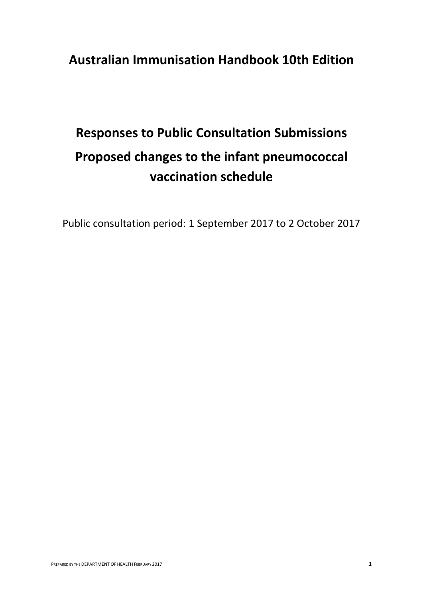### **Australian Immunisation Handbook 10th Edition**

# **Responses to Public Consultation Submissions Proposed changes to the infant pneumococcal vaccination schedule**

Public consultation period: 1 September 2017 to 2 October 2017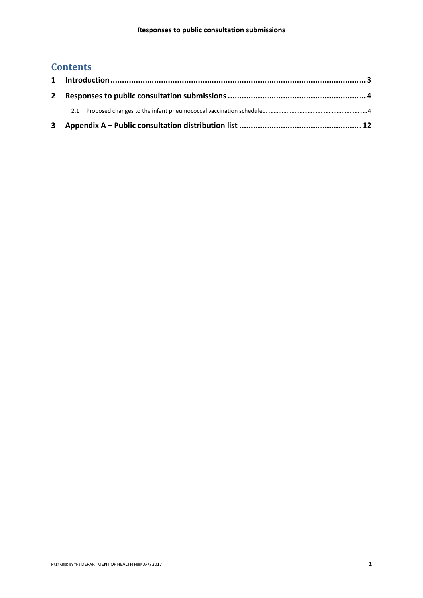#### **Contents**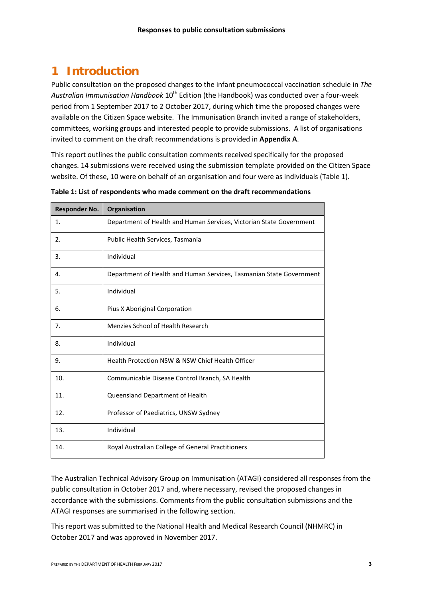## <span id="page-2-0"></span>**1 Introduction**

Public consultation on the proposed changes to the infant pneumococcal vaccination schedule in *The*  Australian Immunisation Handbook 10<sup>th</sup> Edition (the Handbook) was conducted over a four-week period from 1 September 2017 to 2 October 2017, during which time the proposed changes were available on the Citizen Space website. The Immunisation Branch invited a range of stakeholders, committees, working groups and interested people to provide submissions. A list of organisations invited to comment on the draft recommendations is provided in **[Appendix A](#page-11-0)**.

This report outlines the public consultation comments received specifically for the proposed changes. 14 submissions were received using the submission template provided on the Citizen Space website. Of these, 10 were on behalf of an organisation and four were as individuals (Table 1).

| <b>Responder No.</b> | Organisation                                                        |
|----------------------|---------------------------------------------------------------------|
| 1.                   | Department of Health and Human Services, Victorian State Government |
| 2.                   | Public Health Services, Tasmania                                    |
| 3.                   | Individual                                                          |
| 4.                   | Department of Health and Human Services, Tasmanian State Government |
| 5.                   | Individual                                                          |
| 6.                   | Pius X Aboriginal Corporation                                       |
| 7.                   | Menzies School of Health Research                                   |
| 8.                   | Individual                                                          |
| 9.                   | Health Protection NSW & NSW Chief Health Officer                    |
| 10.                  | Communicable Disease Control Branch, SA Health                      |
| 11.                  | Queensland Department of Health                                     |
| 12.                  | Professor of Paediatrics, UNSW Sydney                               |
| 13.                  | Individual                                                          |
| 14.                  | Royal Australian College of General Practitioners                   |

**Table 1: List of respondents who made comment on the draft recommendations**

The Australian Technical Advisory Group on Immunisation (ATAGI) considered all responses from the public consultation in October 2017 and, where necessary, revised the proposed changes in accordance with the submissions. Comments from the public consultation submissions and the ATAGI responses are summarised in the following section.

This report was submitted to the National Health and Medical Research Council (NHMRC) in October 2017 and was approved in November 2017.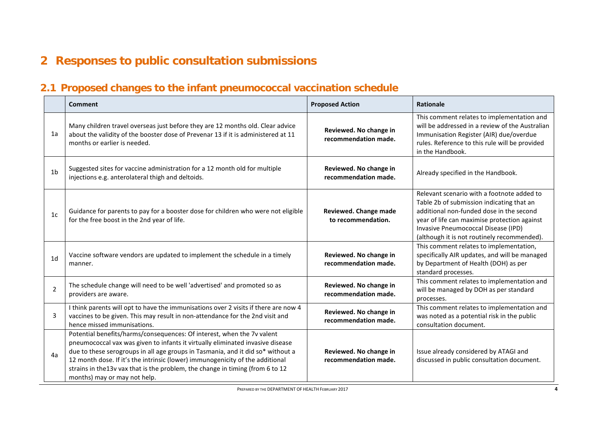#### **2 Responses to public consultation submissions**

#### **2.1 Proposed changes to the infant pneumococcal vaccination schedule**

<span id="page-3-1"></span><span id="page-3-0"></span>

|                | <b>Comment</b>                                                                                                                                                                                                                                                                                                                                                                                                                                 | <b>Proposed Action</b>                         | Rationale                                                                                                                                                                                                                                                                 |
|----------------|------------------------------------------------------------------------------------------------------------------------------------------------------------------------------------------------------------------------------------------------------------------------------------------------------------------------------------------------------------------------------------------------------------------------------------------------|------------------------------------------------|---------------------------------------------------------------------------------------------------------------------------------------------------------------------------------------------------------------------------------------------------------------------------|
| 1a             | Many children travel overseas just before they are 12 months old. Clear advice<br>about the validity of the booster dose of Prevenar 13 if it is administered at 11<br>months or earlier is needed.                                                                                                                                                                                                                                            | Reviewed. No change in<br>recommendation made. | This comment relates to implementation and<br>will be addressed in a review of the Australian<br>Immunisation Register (AIR) due/overdue<br>rules. Reference to this rule will be provided<br>in the Handbook.                                                            |
| 1 <sub>b</sub> | Suggested sites for vaccine administration for a 12 month old for multiple<br>injections e.g. anterolateral thigh and deltoids.                                                                                                                                                                                                                                                                                                                | Reviewed. No change in<br>recommendation made. | Already specified in the Handbook.                                                                                                                                                                                                                                        |
| 1 <sub>c</sub> | Guidance for parents to pay for a booster dose for children who were not eligible<br>for the free boost in the 2nd year of life.                                                                                                                                                                                                                                                                                                               | Reviewed. Change made<br>to recommendation.    | Relevant scenario with a footnote added to<br>Table 2b of submission indicating that an<br>additional non-funded dose in the second<br>year of life can maximise protection against<br>Invasive Pneumococcal Disease (IPD)<br>(although it is not routinely recommended). |
| 1 <sub>d</sub> | Vaccine software vendors are updated to implement the schedule in a timely<br>manner.                                                                                                                                                                                                                                                                                                                                                          | Reviewed. No change in<br>recommendation made. | This comment relates to implementation,<br>specifically AIR updates, and will be managed<br>by Department of Health (DOH) as per<br>standard processes.                                                                                                                   |
| $\overline{2}$ | The schedule change will need to be well 'advertised' and promoted so as<br>providers are aware.                                                                                                                                                                                                                                                                                                                                               | Reviewed. No change in<br>recommendation made. | This comment relates to implementation and<br>will be managed by DOH as per standard<br>processes.                                                                                                                                                                        |
| 3              | I think parents will opt to have the immunisations over 2 visits if there are now 4<br>vaccines to be given. This may result in non-attendance for the 2nd visit and<br>hence missed immunisations.                                                                                                                                                                                                                                            | Reviewed. No change in<br>recommendation made. | This comment relates to implementation and<br>was noted as a potential risk in the public<br>consultation document.                                                                                                                                                       |
| 4a             | Potential benefits/harms/consequences: Of interest, when the 7v valent<br>pneumococcal vax was given to infants it virtually eliminated invasive disease<br>due to these serogroups in all age groups in Tasmania, and it did so* without a<br>12 month dose. If it's the intrinsic (lower) immunogenicity of the additional<br>strains in the 13v vax that is the problem, the change in timing (from 6 to 12<br>months) may or may not help. | Reviewed. No change in<br>recommendation made. | Issue already considered by ATAGI and<br>discussed in public consultation document.                                                                                                                                                                                       |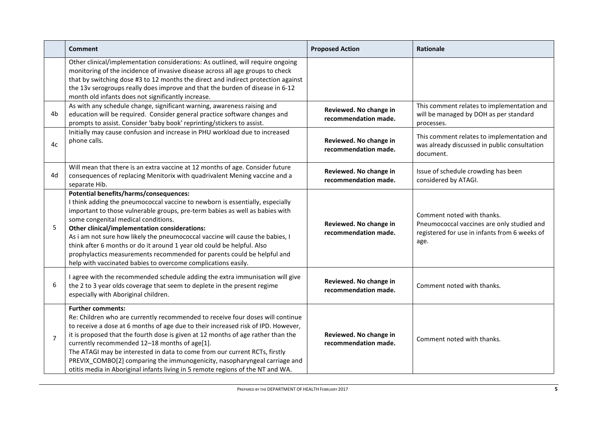|                | <b>Comment</b>                                                                                                                                                                                                                                                                                                                                                                                                                                                                                                                                                                                         | <b>Proposed Action</b>                         | <b>Rationale</b>                                                                                                                  |
|----------------|--------------------------------------------------------------------------------------------------------------------------------------------------------------------------------------------------------------------------------------------------------------------------------------------------------------------------------------------------------------------------------------------------------------------------------------------------------------------------------------------------------------------------------------------------------------------------------------------------------|------------------------------------------------|-----------------------------------------------------------------------------------------------------------------------------------|
|                | Other clinical/implementation considerations: As outlined, will require ongoing<br>monitoring of the incidence of invasive disease across all age groups to check<br>that by switching dose #3 to 12 months the direct and indirect protection against<br>the 13v serogroups really does improve and that the burden of disease in 6-12<br>month old infants does not significantly increase.                                                                                                                                                                                                          |                                                |                                                                                                                                   |
| 4b             | As with any schedule change, significant warning, awareness raising and<br>education will be required. Consider general practice software changes and<br>prompts to assist. Consider 'baby book' reprinting/stickers to assist.                                                                                                                                                                                                                                                                                                                                                                        | Reviewed. No change in<br>recommendation made. | This comment relates to implementation and<br>will be managed by DOH as per standard<br>processes.                                |
| 4c             | Initially may cause confusion and increase in PHU workload due to increased<br>phone calls.                                                                                                                                                                                                                                                                                                                                                                                                                                                                                                            | Reviewed. No change in<br>recommendation made. | This comment relates to implementation and<br>was already discussed in public consultation<br>document.                           |
| 4d             | Will mean that there is an extra vaccine at 12 months of age. Consider future<br>consequences of replacing Menitorix with quadrivalent Mening vaccine and a<br>separate Hib.                                                                                                                                                                                                                                                                                                                                                                                                                           | Reviewed. No change in<br>recommendation made. | Issue of schedule crowding has been<br>considered by ATAGI.                                                                       |
| 5              | Potential benefits/harms/consequences:<br>I think adding the pneumococcal vaccine to newborn is essentially, especially<br>important to those vulnerable groups, pre-term babies as well as babies with<br>some congenital medical conditions.<br>Other clinical/implementation considerations:<br>As i am not sure how likely the pneumococcal vaccine will cause the babies, I<br>think after 6 months or do it around 1 year old could be helpful. Also<br>prophylactics measurements recommended for parents could be helpful and<br>help with vaccinated babies to overcome complications easily. | Reviewed. No change in<br>recommendation made. | Comment noted with thanks.<br>Pneumococcal vaccines are only studied and<br>registered for use in infants from 6 weeks of<br>age. |
| 6              | I agree with the recommended schedule adding the extra immunisation will give<br>the 2 to 3 year olds coverage that seem to deplete in the present regime<br>especially with Aboriginal children.                                                                                                                                                                                                                                                                                                                                                                                                      | Reviewed. No change in<br>recommendation made. | Comment noted with thanks.                                                                                                        |
| $\overline{7}$ | <b>Further comments:</b><br>Re: Children who are currently recommended to receive four doses will continue<br>to receive a dose at 6 months of age due to their increased risk of IPD. However,<br>it is proposed that the fourth dose is given at 12 months of age rather than the<br>currently recommended 12-18 months of age[1].<br>The ATAGI may be interested in data to come from our current RCTs, firstly<br>PREVIX_COMBO[2] comparing the immunogenicity, nasopharyngeal carriage and<br>otitis media in Aboriginal infants living in 5 remote regions of the NT and WA.                     | Reviewed. No change in<br>recommendation made. | Comment noted with thanks.                                                                                                        |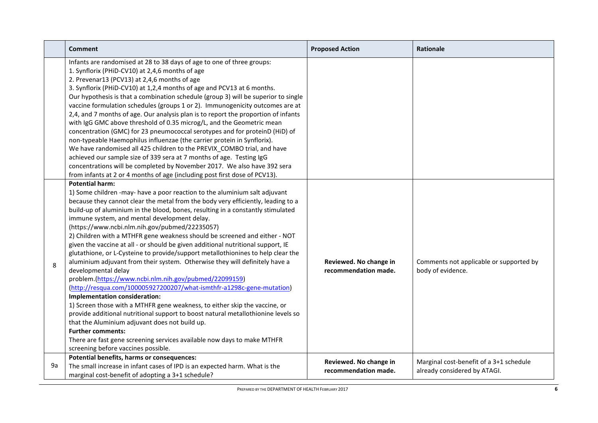|    | <b>Comment</b>                                                                                                                                                                                                                                                                                                                                                                                                                                                                                                                                                                                                                                                                                                                                                                                                                                                                                                                                                                                                                                                                                                                                                                                                                                                                                                                                                 | <b>Proposed Action</b>                         | <b>Rationale</b>                                                        |
|----|----------------------------------------------------------------------------------------------------------------------------------------------------------------------------------------------------------------------------------------------------------------------------------------------------------------------------------------------------------------------------------------------------------------------------------------------------------------------------------------------------------------------------------------------------------------------------------------------------------------------------------------------------------------------------------------------------------------------------------------------------------------------------------------------------------------------------------------------------------------------------------------------------------------------------------------------------------------------------------------------------------------------------------------------------------------------------------------------------------------------------------------------------------------------------------------------------------------------------------------------------------------------------------------------------------------------------------------------------------------|------------------------------------------------|-------------------------------------------------------------------------|
|    | Infants are randomised at 28 to 38 days of age to one of three groups:<br>1. Synflorix (PHiD-CV10) at 2,4,6 months of age<br>2. Prevenar13 (PCV13) at 2,4,6 months of age<br>3. Synflorix (PHiD-CV10) at 1,2,4 months of age and PCV13 at 6 months.<br>Our hypothesis is that a combination schedule (group 3) will be superior to single<br>vaccine formulation schedules (groups 1 or 2). Immunogenicity outcomes are at<br>2,4, and 7 months of age. Our analysis plan is to report the proportion of infants<br>with IgG GMC above threshold of 0.35 microg/L, and the Geometric mean<br>concentration (GMC) for 23 pneumococcal serotypes and for proteinD (HiD) of<br>non-typeable Haemophilus influenzae (the carrier protein in Synflorix).<br>We have randomised all 425 children to the PREVIX_COMBO trial, and have<br>achieved our sample size of 339 sera at 7 months of age. Testing IgG<br>concentrations will be completed by November 2017. We also have 392 sera                                                                                                                                                                                                                                                                                                                                                                             |                                                |                                                                         |
| 8  | from infants at 2 or 4 months of age (including post first dose of PCV13).<br><b>Potential harm:</b><br>1) Some children -may- have a poor reaction to the aluminium salt adjuvant<br>because they cannot clear the metal from the body very efficiently, leading to a<br>build-up of aluminium in the blood, bones, resulting in a constantly stimulated<br>immune system, and mental development delay.<br>(https://www.ncbi.nlm.nih.gov/pubmed/22235057)<br>2) Children with a MTHFR gene weakness should be screened and either - NOT<br>given the vaccine at all - or should be given additional nutritional support, IE<br>glutathione, or L-Cysteine to provide/support metallothionines to help clear the<br>aluminium adjuvant from their system. Otherwise they will definitely have a<br>developmental delay<br>problem.(https://www.ncbi.nlm.nih.gov/pubmed/22099159)<br>(http://resqua.com/100005927200207/what-ismthfr-a1298c-gene-mutation)<br>Implementation consideration:<br>1) Screen those with a MTHFR gene weakness, to either skip the vaccine, or<br>provide additional nutritional support to boost natural metallothionine levels so<br>that the Aluminium adjuvant does not build up.<br><b>Further comments:</b><br>There are fast gene screening services available now days to make MTHFR<br>screening before vaccines possible. | Reviewed. No change in<br>recommendation made. | Comments not applicable or supported by<br>body of evidence.            |
| 9a | Potential benefits, harms or consequences:<br>The small increase in infant cases of IPD is an expected harm. What is the<br>marginal cost-benefit of adopting a 3+1 schedule?                                                                                                                                                                                                                                                                                                                                                                                                                                                                                                                                                                                                                                                                                                                                                                                                                                                                                                                                                                                                                                                                                                                                                                                  | Reviewed. No change in<br>recommendation made. | Marginal cost-benefit of a 3+1 schedule<br>already considered by ATAGI. |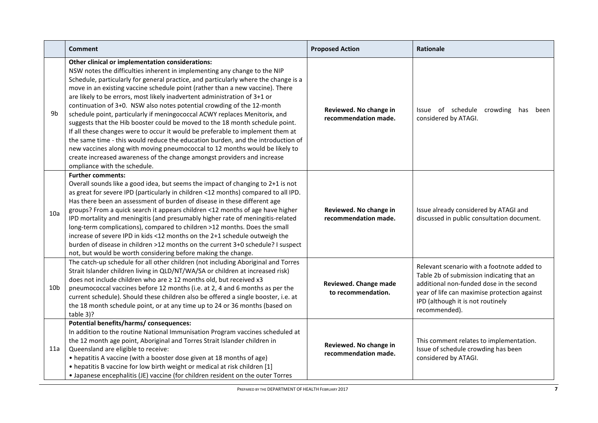|     | <b>Comment</b>                                                                                                                                                                                                                                                                                                                                                                                                                                                                                                                                                                                                                                                                                                                                                                                                                                                                                                                                                                            | <b>Proposed Action</b>                         | <b>Rationale</b>                                                                                                                                                                                                                          |
|-----|-------------------------------------------------------------------------------------------------------------------------------------------------------------------------------------------------------------------------------------------------------------------------------------------------------------------------------------------------------------------------------------------------------------------------------------------------------------------------------------------------------------------------------------------------------------------------------------------------------------------------------------------------------------------------------------------------------------------------------------------------------------------------------------------------------------------------------------------------------------------------------------------------------------------------------------------------------------------------------------------|------------------------------------------------|-------------------------------------------------------------------------------------------------------------------------------------------------------------------------------------------------------------------------------------------|
| 9b  | Other clinical or implementation considerations:<br>NSW notes the difficulties inherent in implementing any change to the NIP<br>Schedule, particularly for general practice, and particularly where the change is a<br>move in an existing vaccine schedule point (rather than a new vaccine). There<br>are likely to be errors, most likely inadvertent administration of 3+1 or<br>continuation of 3+0. NSW also notes potential crowding of the 12-month<br>schedule point, particularly if meningococcal ACWY replaces Menitorix, and<br>suggests that the Hib booster could be moved to the 18 month schedule point.<br>If all these changes were to occur it would be preferable to implement them at<br>the same time - this would reduce the education burden, and the introduction of<br>new vaccines along with moving pneumococcal to 12 months would be likely to<br>create increased awareness of the change amongst providers and increase<br>ompliance with the schedule. | Reviewed. No change in<br>recommendation made. | Issue of schedule crowding<br>has been<br>considered by ATAGI.                                                                                                                                                                            |
| 10a | <b>Further comments:</b><br>Overall sounds like a good idea, but seems the impact of changing to 2+1 is not<br>as great for severe IPD (particularly in children <12 months) compared to all IPD.<br>Has there been an assessment of burden of disease in these different age<br>groups? From a quick search it appears children <12 months of age have higher<br>IPD mortality and meningitis (and presumably higher rate of meningitis-related<br>long-term complications), compared to children >12 months. Does the small<br>increase of severe IPD in kids <12 months on the 2+1 schedule outweigh the<br>burden of disease in children >12 months on the current 3+0 schedule? I suspect<br>not, but would be worth considering before making the change.                                                                                                                                                                                                                           | Reviewed. No change in<br>recommendation made. | Issue already considered by ATAGI and<br>discussed in public consultation document.                                                                                                                                                       |
| 10b | The catch-up schedule for all other children (not including Aboriginal and Torres<br>Strait Islander children living in QLD/NT/WA/SA or children at increased risk)<br>does not include children who are ≥ 12 months old, but received x3<br>pneumococcal vaccines before 12 months (i.e. at 2, 4 and 6 months as per the<br>current schedule). Should these children also be offered a single booster, i.e. at<br>the 18 month schedule point, or at any time up to 24 or 36 months (based on<br>table 3)?                                                                                                                                                                                                                                                                                                                                                                                                                                                                               | Reviewed. Change made<br>to recommendation.    | Relevant scenario with a footnote added to<br>Table 2b of submission indicating that an<br>additional non-funded dose in the second<br>year of life can maximise protection against<br>IPD (although it is not routinely<br>recommended). |
| 11a | Potential benefits/harms/consequences:<br>In addition to the routine National Immunisation Program vaccines scheduled at<br>the 12 month age point, Aboriginal and Torres Strait Islander children in<br>Queensland are eligible to receive:<br>• hepatitis A vaccine (with a booster dose given at 18 months of age)<br>• hepatitis B vaccine for low birth weight or medical at risk children [1]<br>• Japanese encephalitis (JE) vaccine (for children resident on the outer Torres                                                                                                                                                                                                                                                                                                                                                                                                                                                                                                    | Reviewed. No change in<br>recommendation made. | This comment relates to implementation.<br>Issue of schedule crowding has been<br>considered by ATAGI.                                                                                                                                    |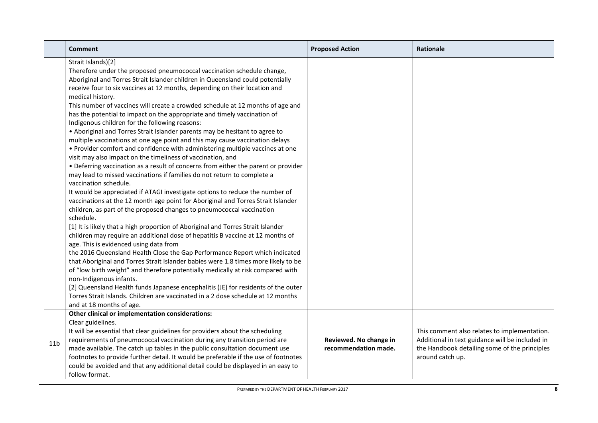|                 | <b>Comment</b>                                                                                                                                                                                                                                                                                                                                                                                                                                                                                                                                                                                                                                                                                                                                                                                                                                                                                                                                                                                                                                                                                                                                                                                                                                                                                                                                                                                                                                                                                                                                                                                                                                                                                                                                                                                                                                              | <b>Proposed Action</b>                         | <b>Rationale</b>                                                                                                                                                     |
|-----------------|-------------------------------------------------------------------------------------------------------------------------------------------------------------------------------------------------------------------------------------------------------------------------------------------------------------------------------------------------------------------------------------------------------------------------------------------------------------------------------------------------------------------------------------------------------------------------------------------------------------------------------------------------------------------------------------------------------------------------------------------------------------------------------------------------------------------------------------------------------------------------------------------------------------------------------------------------------------------------------------------------------------------------------------------------------------------------------------------------------------------------------------------------------------------------------------------------------------------------------------------------------------------------------------------------------------------------------------------------------------------------------------------------------------------------------------------------------------------------------------------------------------------------------------------------------------------------------------------------------------------------------------------------------------------------------------------------------------------------------------------------------------------------------------------------------------------------------------------------------------|------------------------------------------------|----------------------------------------------------------------------------------------------------------------------------------------------------------------------|
|                 | Strait Islands)[2]<br>Therefore under the proposed pneumococcal vaccination schedule change,<br>Aboriginal and Torres Strait Islander children in Queensland could potentially<br>receive four to six vaccines at 12 months, depending on their location and<br>medical history.<br>This number of vaccines will create a crowded schedule at 12 months of age and<br>has the potential to impact on the appropriate and timely vaccination of<br>Indigenous children for the following reasons:<br>. Aboriginal and Torres Strait Islander parents may be hesitant to agree to<br>multiple vaccinations at one age point and this may cause vaccination delays<br>. Provider comfort and confidence with administering multiple vaccines at one<br>visit may also impact on the timeliness of vaccination, and<br>• Deferring vaccination as a result of concerns from either the parent or provider<br>may lead to missed vaccinations if families do not return to complete a<br>vaccination schedule.<br>It would be appreciated if ATAGI investigate options to reduce the number of<br>vaccinations at the 12 month age point for Aboriginal and Torres Strait Islander<br>children, as part of the proposed changes to pneumococcal vaccination<br>schedule.<br>[1] It is likely that a high proportion of Aboriginal and Torres Strait Islander<br>children may require an additional dose of hepatitis B vaccine at 12 months of<br>age. This is evidenced using data from<br>the 2016 Queensland Health Close the Gap Performance Report which indicated<br>that Aboriginal and Torres Strait Islander babies were 1.8 times more likely to be<br>of "low birth weight" and therefore potentially medically at risk compared with<br>non-Indigenous infants.<br>[2] Queensland Health funds Japanese encephalitis (JE) for residents of the outer |                                                |                                                                                                                                                                      |
|                 | Torres Strait Islands. Children are vaccinated in a 2 dose schedule at 12 months<br>and at 18 months of age.                                                                                                                                                                                                                                                                                                                                                                                                                                                                                                                                                                                                                                                                                                                                                                                                                                                                                                                                                                                                                                                                                                                                                                                                                                                                                                                                                                                                                                                                                                                                                                                                                                                                                                                                                |                                                |                                                                                                                                                                      |
| 11 <sub>b</sub> | Other clinical or implementation considerations:<br>Clear guidelines.<br>It will be essential that clear guidelines for providers about the scheduling<br>requirements of pneumococcal vaccination during any transition period are<br>made available. The catch up tables in the public consultation document use<br>footnotes to provide further detail. It would be preferable if the use of footnotes<br>could be avoided and that any additional detail could be displayed in an easy to<br>follow format.                                                                                                                                                                                                                                                                                                                                                                                                                                                                                                                                                                                                                                                                                                                                                                                                                                                                                                                                                                                                                                                                                                                                                                                                                                                                                                                                             | Reviewed. No change in<br>recommendation made. | This comment also relates to implementation.<br>Additional in text guidance will be included in<br>the Handbook detailing some of the principles<br>around catch up. |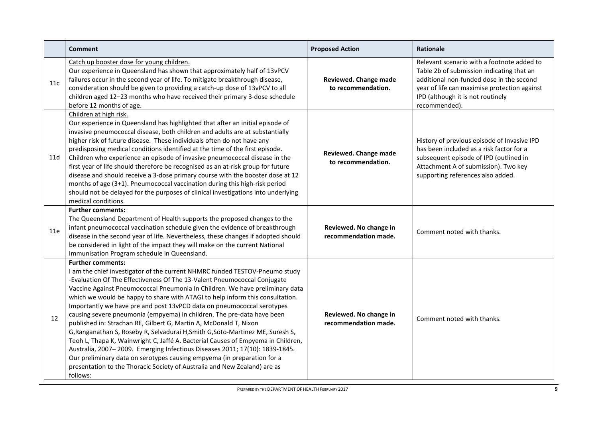|     | <b>Comment</b>                                                                                                                                                                                                                                                                                                                                                                                                                                                                                                                                                                                                                                                                                                                                                                                                                                                                                                                                                                                         | <b>Proposed Action</b>                         | Rationale                                                                                                                                                                                                                                 |
|-----|--------------------------------------------------------------------------------------------------------------------------------------------------------------------------------------------------------------------------------------------------------------------------------------------------------------------------------------------------------------------------------------------------------------------------------------------------------------------------------------------------------------------------------------------------------------------------------------------------------------------------------------------------------------------------------------------------------------------------------------------------------------------------------------------------------------------------------------------------------------------------------------------------------------------------------------------------------------------------------------------------------|------------------------------------------------|-------------------------------------------------------------------------------------------------------------------------------------------------------------------------------------------------------------------------------------------|
| 11c | Catch up booster dose for young children.<br>Our experience in Queensland has shown that approximately half of 13vPCV<br>failures occur in the second year of life. To mitigate breakthrough disease,<br>consideration should be given to providing a catch-up dose of 13vPCV to all<br>children aged 12-23 months who have received their primary 3-dose schedule<br>before 12 months of age.                                                                                                                                                                                                                                                                                                                                                                                                                                                                                                                                                                                                         | Reviewed. Change made<br>to recommendation.    | Relevant scenario with a footnote added to<br>Table 2b of submission indicating that an<br>additional non-funded dose in the second<br>year of life can maximise protection against<br>IPD (although it is not routinely<br>recommended). |
| 11d | Children at high risk.<br>Our experience in Queensland has highlighted that after an initial episode of<br>invasive pneumococcal disease, both children and adults are at substantially<br>higher risk of future disease. These individuals often do not have any<br>predisposing medical conditions identified at the time of the first episode.<br>Children who experience an episode of invasive pneumococcal disease in the<br>first year of life should therefore be recognised as an at-risk group for future<br>disease and should receive a 3-dose primary course with the booster dose at 12<br>months of age (3+1). Pneumococcal vaccination during this high-risk period<br>should not be delayed for the purposes of clinical investigations into underlying<br>medical conditions.                                                                                                                                                                                                        | Reviewed. Change made<br>to recommendation.    | History of previous episode of Invasive IPD<br>has been included as a risk factor for a<br>subsequent episode of IPD (outlined in<br>Attachment A of submission). Two key<br>supporting references also added.                            |
| 11e | <b>Further comments:</b><br>The Queensland Department of Health supports the proposed changes to the<br>infant pneumococcal vaccination schedule given the evidence of breakthrough<br>disease in the second year of life. Nevertheless, these changes if adopted should<br>be considered in light of the impact they will make on the current National<br>Immunisation Program schedule in Queensland.                                                                                                                                                                                                                                                                                                                                                                                                                                                                                                                                                                                                | Reviewed. No change in<br>recommendation made. | Comment noted with thanks.                                                                                                                                                                                                                |
| 12  | <b>Further comments:</b><br>I am the chief investigator of the current NHMRC funded TESTOV-Pneumo study<br>-Evaluation Of The Effectiveness Of The 13-Valent Pneumococcal Conjugate<br>Vaccine Against Pneumococcal Pneumonia In Children. We have preliminary data<br>which we would be happy to share with ATAGI to help inform this consultation.<br>Importantly we have pre and post 13vPCD data on pneumococcal serotypes<br>causing severe pneumonia (empyema) in children. The pre-data have been<br>published in: Strachan RE, Gilbert G, Martin A, McDonald T, Nixon<br>G, Ranganathan S, Roseby R, Selvadurai H, Smith G, Soto-Martinez ME, Suresh S,<br>Teoh L, Thapa K, Wainwright C, Jaffé A. Bacterial Causes of Empyema in Children,<br>Australia, 2007-2009. Emerging Infectious Diseases 2011; 17(10): 1839-1845.<br>Our preliminary data on serotypes causing empyema (in preparation for a<br>presentation to the Thoracic Society of Australia and New Zealand) are as<br>follows: | Reviewed. No change in<br>recommendation made. | Comment noted with thanks.                                                                                                                                                                                                                |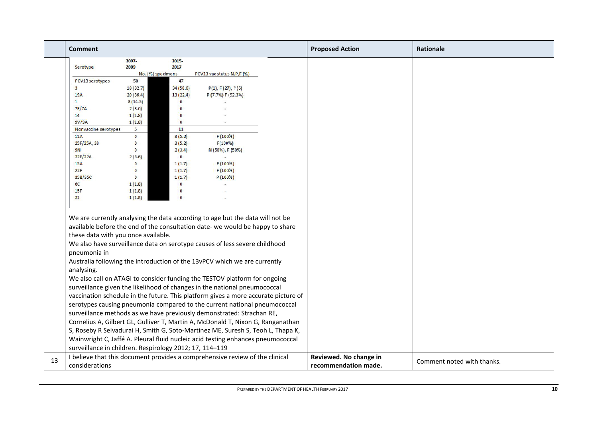| <b>Comment</b>             |                                     |                   |                                                         |                                                                                                                                                                                                                                                                                                                                                                                                                                                                                                                                                                       | <b>Proposed Action</b> | <b>Rationale</b>           |
|----------------------------|-------------------------------------|-------------------|---------------------------------------------------------|-----------------------------------------------------------------------------------------------------------------------------------------------------------------------------------------------------------------------------------------------------------------------------------------------------------------------------------------------------------------------------------------------------------------------------------------------------------------------------------------------------------------------------------------------------------------------|------------------------|----------------------------|
|                            |                                     | 2007-             | 2015-                                                   |                                                                                                                                                                                                                                                                                                                                                                                                                                                                                                                                                                       |                        |                            |
| Serotype                   |                                     | 2009              | 2017                                                    |                                                                                                                                                                                                                                                                                                                                                                                                                                                                                                                                                                       |                        |                            |
| PCV13 serotypes            |                                     | 50                | No. (%) specimens<br>47                                 | PCV13 vac status N,P,F (%)                                                                                                                                                                                                                                                                                                                                                                                                                                                                                                                                            |                        |                            |
| $\overline{\mathbf{3}}$    |                                     | 18(32.7)          | 34(58.6)                                                | P(1), F(27), ?(6)                                                                                                                                                                                                                                                                                                                                                                                                                                                                                                                                                     |                        |                            |
| 19A                        |                                     | 20(36.4)          | 13(22.4)                                                | P (7.7%) F (92.3%)                                                                                                                                                                                                                                                                                                                                                                                                                                                                                                                                                    |                        |                            |
| $\mathbf{1}$               |                                     | 8(14.5)           | $\mathbf{0}$                                            |                                                                                                                                                                                                                                                                                                                                                                                                                                                                                                                                                                       |                        |                            |
| 7F/7A                      |                                     | 2(3.6)            | $\theta$                                                |                                                                                                                                                                                                                                                                                                                                                                                                                                                                                                                                                                       |                        |                            |
| 14                         |                                     | 1(1.8)            | $\mathbf{0}$                                            |                                                                                                                                                                                                                                                                                                                                                                                                                                                                                                                                                                       |                        |                            |
| 9V/9A                      |                                     | 1(1.8)            | $\overline{0}$                                          |                                                                                                                                                                                                                                                                                                                                                                                                                                                                                                                                                                       |                        |                            |
|                            | Nonvaccine serotypes                | 5                 | 11                                                      |                                                                                                                                                                                                                                                                                                                                                                                                                                                                                                                                                                       |                        |                            |
| 11A                        |                                     | 0                 | 3(5.2)                                                  | F(100%                                                                                                                                                                                                                                                                                                                                                                                                                                                                                                                                                                |                        |                            |
| 25F/25A, 38                |                                     | 0                 | 3(5.2)                                                  | F(100%)                                                                                                                                                                                                                                                                                                                                                                                                                                                                                                                                                               |                        |                            |
| <b>9N</b>                  |                                     | $\mathbf 0$       | 2(3.4)                                                  | N (50%), F (50%)                                                                                                                                                                                                                                                                                                                                                                                                                                                                                                                                                      |                        |                            |
| 22F/22A                    |                                     | 2(3.6)            | $\bf{0}$                                                | ٠                                                                                                                                                                                                                                                                                                                                                                                                                                                                                                                                                                     |                        |                            |
| 15A                        |                                     | 0                 | 1(1.7)                                                  | F(100%                                                                                                                                                                                                                                                                                                                                                                                                                                                                                                                                                                |                        |                            |
| 22F                        |                                     | $\mathbf 0$       | 1(1.7)                                                  | F(100%                                                                                                                                                                                                                                                                                                                                                                                                                                                                                                                                                                |                        |                            |
| 35B/35C<br>6C              |                                     | $\circ$<br>1(1.8) | 1(1.7)<br>$\bf{0}$                                      | P(100%                                                                                                                                                                                                                                                                                                                                                                                                                                                                                                                                                                |                        |                            |
| 15F                        |                                     | 1(1.8)            | $\ddot{\phantom{0}}$                                    |                                                                                                                                                                                                                                                                                                                                                                                                                                                                                                                                                                       |                        |                            |
| 21                         |                                     | 1(1.8)            | $\mathbf{0}$                                            |                                                                                                                                                                                                                                                                                                                                                                                                                                                                                                                                                                       |                        |                            |
| pneumonia in<br>analysing. | these data with you once available. |                   |                                                         | available before the end of the consultation date- we would be happy to share<br>We also have surveillance data on serotype causes of less severe childhood<br>Australia following the introduction of the 13vPCV which we are currently<br>We also call on ATAGI to consider funding the TESTOV platform for ongoing<br>surveillance given the likelihood of changes in the national pneumococcal<br>vaccination schedule in the future. This platform gives a more accurate picture of<br>serotypes causing pneumonia compared to the current national pneumococcal |                        |                            |
|                            |                                     |                   |                                                         | surveillance methods as we have previously demonstrated: Strachan RE,                                                                                                                                                                                                                                                                                                                                                                                                                                                                                                 |                        |                            |
|                            |                                     |                   |                                                         | Cornelius A, Gilbert GL, Gulliver T, Martin A, McDonald T, Nixon G, Ranganathan<br>S, Roseby R Selvadurai H, Smith G, Soto-Martinez ME, Suresh S, Teoh L, Thapa K,<br>Wainwright C, Jaffé A. Pleural fluid nucleic acid testing enhances pneumococcal                                                                                                                                                                                                                                                                                                                 |                        |                            |
|                            |                                     |                   | surveillance in children. Respirology 2012; 17, 114-119 |                                                                                                                                                                                                                                                                                                                                                                                                                                                                                                                                                                       |                        |                            |
|                            |                                     |                   |                                                         | I believe that this document provides a comprehensive review of the clinical                                                                                                                                                                                                                                                                                                                                                                                                                                                                                          | Reviewed. No change in | Comment noted with thanks. |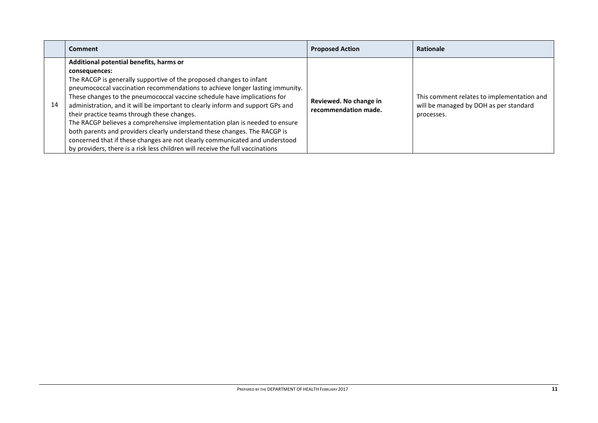|    | <b>Comment</b>                                                                                                                                                                                                                                                                                                                                                                                                                                                                                                                                                                                                                                                                                                                                           | <b>Proposed Action</b>                         | Rationale                                                                                          |
|----|----------------------------------------------------------------------------------------------------------------------------------------------------------------------------------------------------------------------------------------------------------------------------------------------------------------------------------------------------------------------------------------------------------------------------------------------------------------------------------------------------------------------------------------------------------------------------------------------------------------------------------------------------------------------------------------------------------------------------------------------------------|------------------------------------------------|----------------------------------------------------------------------------------------------------|
| 14 | Additional potential benefits, harms or<br>consequences:<br>The RACGP is generally supportive of the proposed changes to infant<br>pneumococcal vaccination recommendations to achieve longer lasting immunity.<br>These changes to the pneumococcal vaccine schedule have implications for<br>administration, and it will be important to clearly inform and support GPs and<br>their practice teams through these changes.<br>The RACGP believes a comprehensive implementation plan is needed to ensure<br>both parents and providers clearly understand these changes. The RACGP is<br>concerned that if these changes are not clearly communicated and understood<br>by providers, there is a risk less children will receive the full vaccinations | Reviewed. No change in<br>recommendation made. | This comment relates to implementation and<br>will be managed by DOH as per standard<br>processes. |